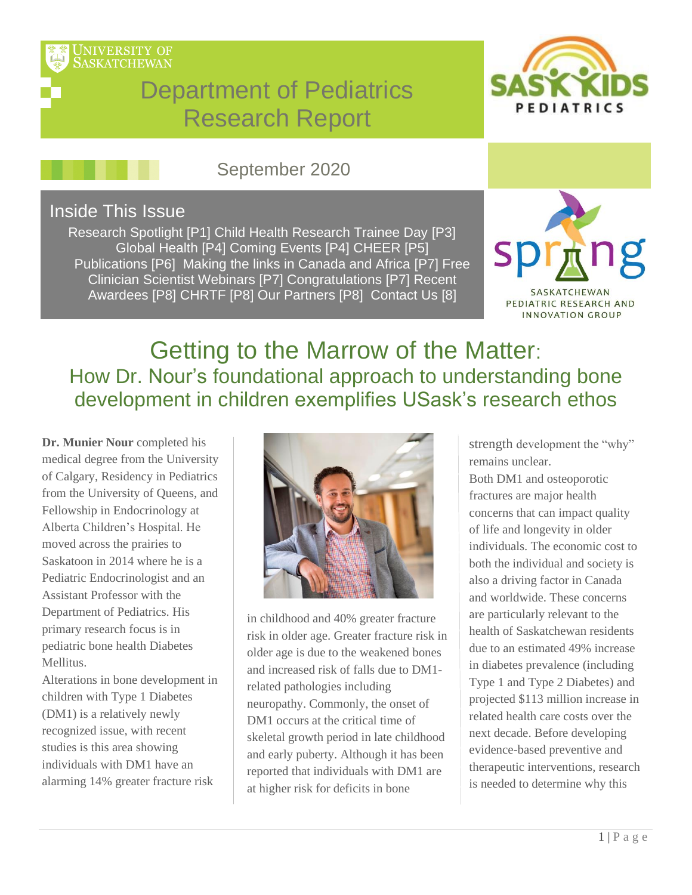

# Department of Pediatrics Research Report



## September 2020

#### Inside This Issue

Research Spotlight [P1] Child Health Research Trainee Day [P3] Global Health [P4] Coming Events [P4] CHEER [P5] Publications [P6] Making the links in Canada and Africa [P7] Free Clinician Scientist Webinars [P7] Congratulations [P7] Recent Awardees [P8] CHRTF [P8] Our Partners [P8] Contact Us [8]



INNOVATION GROUP

# Getting to the Marrow of the Matter: How Dr. Nour's foundational approach to understanding bone development in children exemplifies USask's research ethos

**Dr. Munier Nour** completed his medical degree from the University of Calgary, Residency in Pediatrics from the University of Queens, and Fellowship in Endocrinology at Alberta Children's Hospital. He moved across the prairies to Saskatoon in 2014 where he is a Pediatric Endocrinologist and an Assistant Professor with the Department of Pediatrics. His primary research focus is in pediatric bone health Diabetes Mellitus.

Alterations in bone development in children with Type 1 Diabetes (DM1) is a relatively newly recognized issue, with recent studies is this area showing individuals with DM1 have an alarming 14% greater fracture risk



in [childhood and 40% greater fracture](https://pattisonchildrens.ca/tag/dr-munier-nour/) risk in older age. Greater fracture risk in older age is due to the weakened bones and increased risk of falls due to DM1 related pathologies including neuropathy. Commonly, the onset of DM1 occurs at the critical time of skeletal growth period in late childhood and early puberty. Although it has been reported that individuals with DM1 are at higher risk for deficits in bone

strength development the "why" remains unclear.

Both DM1 and osteoporotic fractures are major health concerns that can impact quality of life and longevity in older individuals. The economic cost to both the individual and society is also a driving factor in Canada and worldwide. These concerns are particularly relevant to the health of Saskatchewan residents due to an estimated 49% increase in diabetes prevalence (including Type 1 and Type 2 Diabetes) and projected \$113 million increase in related health care costs over the next decade. Before developing evidence-based preventive and therapeutic interventions, research is needed to determine why this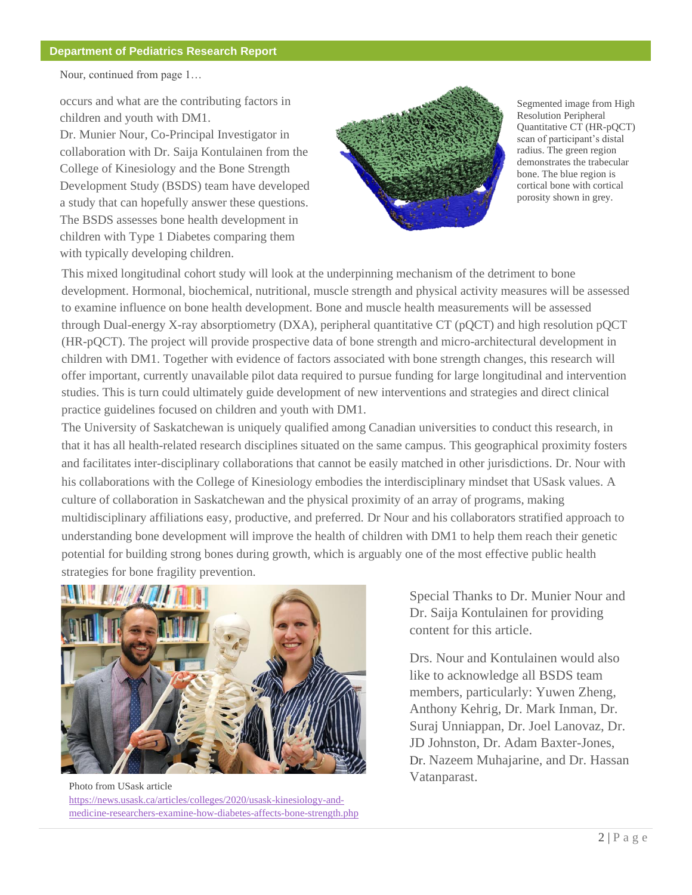#### **Department of Pediatrics Research Report**

Nour, continued from page 1…

occurs and what are the contributing factors in children and youth with DM1.

Dr. Munier Nour, Co-Principal Investigator in collaboration with Dr. Saija Kontulainen from the College of Kinesiology and the Bone Strength Development Study (BSDS) team have developed a study that can hopefully answer these questions. The BSDS assesses bone health development in children with Type 1 Diabetes comparing them with typically developing children.



Segmented image from High Resolution Peripheral Quantitative CT (HR-pQCT) scan of participant's distal radius. The green region demonstrates the trabecular bone. The blue region is cortical bone with cortical porosity shown in grey.

This mixed longitudinal cohort study will look at the underpinning mechanism of the detriment to bone development. Hormonal, biochemical, nutritional, muscle strength and physical activity measures will be assessed to examine influence on bone health development. Bone and muscle health measurements will be assessed through Dual-energy X-ray absorptiometry (DXA), peripheral quantitative CT (pQCT) and high resolution pQCT (HR-pQCT). The project will provide prospective data of bone strength and micro-architectural development in children with DM1. Together with evidence of factors associated with bone strength changes, this research will offer important, currently unavailable pilot data required to pursue funding for large longitudinal and intervention studies. This is turn could ultimately guide development of new interventions and strategies and direct clinical practice guidelines focused on children and youth with DM1.

The University of Saskatchewan is uniquely qualified among Canadian universities to conduct this research, in that it has all health-related research disciplines situated on the same campus. This geographical proximity fosters and facilitates inter-disciplinary collaborations that cannot be easily matched in other jurisdictions. Dr. Nour with his collaborations with the College of Kinesiology embodies the interdisciplinary mindset that USask values. A culture of collaboration in Saskatchewan and the physical proximity of an array of programs, making multidisciplinary affiliations easy, productive, and preferred. Dr Nour and his collaborators stratified approach to understanding bone development will improve the health of children with DM1 to help them reach their genetic potential for building strong bones during growth, which is arguably one of the most effective public health strategies for bone fragility prevention.



[Photo from USask article](https://news.usask.ca/articles/colleges/2020/usask-kinesiology-and-medicine-researchers-examine-how-diabetes-affects-bone-strength.php)  [https://news.usask.ca/articles/colleges/2020/usask-kinesiology-and](https://news.usask.ca/articles/colleges/2020/usask-kinesiology-and-medicine-researchers-examine-how-diabetes-affects-bone-strength.php)[medicine-researchers-examine-how-diabetes-affects-bone-strength.php](https://news.usask.ca/articles/colleges/2020/usask-kinesiology-and-medicine-researchers-examine-how-diabetes-affects-bone-strength.php)

Special Thanks to Dr. Munier Nour and Dr. Saija Kontulainen for providing content for this article.

Drs. Nour and Kontulainen would also like to acknowledge all BSDS team members, particularly: Yuwen Zheng, Anthony Kehrig, Dr. Mark Inman, Dr. Suraj Unniappan, Dr. Joel Lanovaz, Dr. JD Johnston, Dr. Adam Baxter-Jones, Dr. Nazeem Muhajarine, and Dr. Hassan Vatanparast.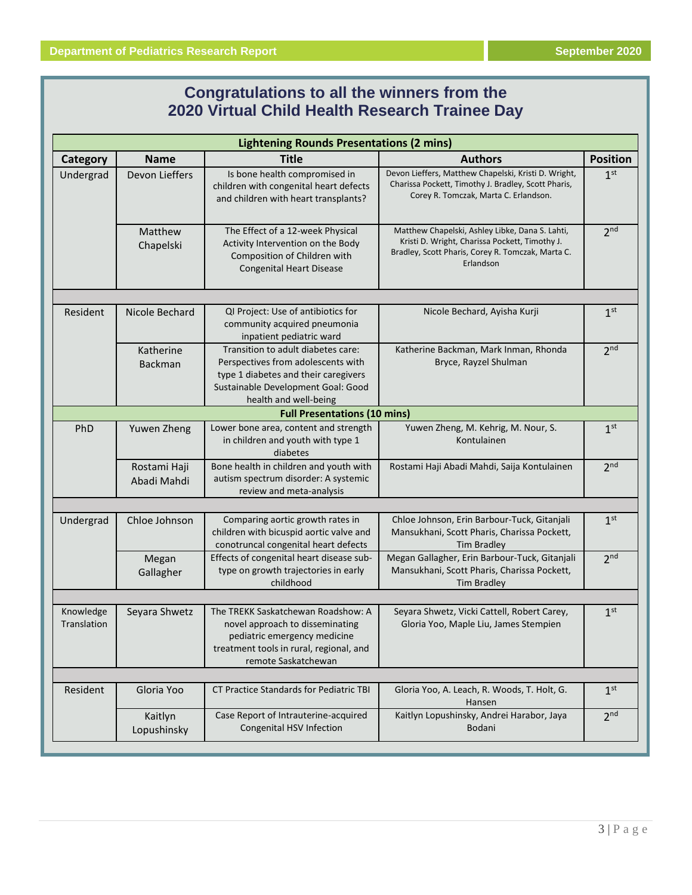#### **Congratulations to all the winners from the 2020 Virtual Child Health Research Trainee Day**

| <b>Lightening Rounds Presentations (2 mins)</b> |                             |                                                                                                                                                                                 |                                                                                                                                                                     |                 |  |
|-------------------------------------------------|-----------------------------|---------------------------------------------------------------------------------------------------------------------------------------------------------------------------------|---------------------------------------------------------------------------------------------------------------------------------------------------------------------|-----------------|--|
| Category                                        | <b>Name</b>                 | <b>Title</b>                                                                                                                                                                    | <b>Authors</b>                                                                                                                                                      | <b>Position</b> |  |
| Undergrad                                       | Devon Lieffers              | Is bone health compromised in<br>children with congenital heart defects<br>and children with heart transplants?                                                                 | Devon Lieffers, Matthew Chapelski, Kristi D. Wright,<br>Charissa Pockett, Timothy J. Bradley, Scott Pharis,<br>Corey R. Tomczak, Marta C. Erlandson.                | 1 <sup>st</sup> |  |
|                                                 | Matthew<br>Chapelski        | The Effect of a 12-week Physical<br>Activity Intervention on the Body<br>Composition of Children with<br><b>Congenital Heart Disease</b>                                        | Matthew Chapelski, Ashley Libke, Dana S. Lahti,<br>Kristi D. Wright, Charissa Pockett, Timothy J.<br>Bradley, Scott Pharis, Corey R. Tomczak, Marta C.<br>Erlandson | 2 <sub>nd</sub> |  |
|                                                 |                             |                                                                                                                                                                                 |                                                                                                                                                                     |                 |  |
| Resident                                        | Nicole Bechard              | QI Project: Use of antibiotics for<br>community acquired pneumonia<br>inpatient pediatric ward                                                                                  | Nicole Bechard, Ayisha Kurji                                                                                                                                        | 1 <sup>st</sup> |  |
|                                                 | Katherine<br>Backman        | Transition to adult diabetes care:<br>Perspectives from adolescents with<br>type 1 diabetes and their caregivers<br>Sustainable Development Goal: Good<br>health and well-being | Katherine Backman, Mark Inman, Rhonda<br>Bryce, Rayzel Shulman                                                                                                      | 2 <sub>nd</sub> |  |
|                                                 |                             | <b>Full Presentations (10 mins)</b>                                                                                                                                             |                                                                                                                                                                     |                 |  |
| PhD                                             | Yuwen Zheng                 | Lower bone area, content and strength<br>in children and youth with type 1<br>diabetes                                                                                          | Yuwen Zheng, M. Kehrig, M. Nour, S.<br>Kontulainen                                                                                                                  | 1 <sup>st</sup> |  |
|                                                 | Rostami Haji<br>Abadi Mahdi | Bone health in children and youth with<br>autism spectrum disorder: A systemic<br>review and meta-analysis                                                                      | Rostami Haji Abadi Mahdi, Saija Kontulainen                                                                                                                         | 2 <sup>nd</sup> |  |
|                                                 |                             |                                                                                                                                                                                 |                                                                                                                                                                     |                 |  |
| Undergrad                                       | Chloe Johnson               | Comparing aortic growth rates in<br>children with bicuspid aortic valve and<br>conotruncal congenital heart defects                                                             | Chloe Johnson, Erin Barbour-Tuck, Gitanjali<br>Mansukhani, Scott Pharis, Charissa Pockett,<br><b>Tim Bradley</b>                                                    | 1 <sup>st</sup> |  |
|                                                 | Megan<br>Gallagher          | Effects of congenital heart disease sub-<br>type on growth trajectories in early<br>childhood                                                                                   | Megan Gallagher, Erin Barbour-Tuck, Gitanjali<br>Mansukhani, Scott Pharis, Charissa Pockett,<br><b>Tim Bradley</b>                                                  | 2 <sub>nd</sub> |  |
|                                                 |                             |                                                                                                                                                                                 |                                                                                                                                                                     |                 |  |
| Knowledge<br>Translation                        | Seyara Shwetz               | The TREKK Saskatchewan Roadshow: A<br>novel approach to disseminating<br>pediatric emergency medicine<br>treatment tools in rural, regional, and<br>remote Saskatchewan         | Seyara Shwetz, Vicki Cattell, Robert Carey,<br>Gloria Yoo, Maple Liu, James Stempien                                                                                | 1 <sup>st</sup> |  |
|                                                 |                             |                                                                                                                                                                                 |                                                                                                                                                                     |                 |  |
| Resident                                        | Gloria Yoo                  | <b>CT Practice Standards for Pediatric TBI</b>                                                                                                                                  | Gloria Yoo, A. Leach, R. Woods, T. Holt, G.<br>Hansen                                                                                                               | 1 <sup>st</sup> |  |
|                                                 | Kaitlyn<br>Lopushinsky      | Case Report of Intrauterine-acquired<br>Congenital HSV Infection                                                                                                                | Kaitlyn Lopushinsky, Andrei Harabor, Jaya<br>Bodani                                                                                                                 | 2 <sub>nd</sub> |  |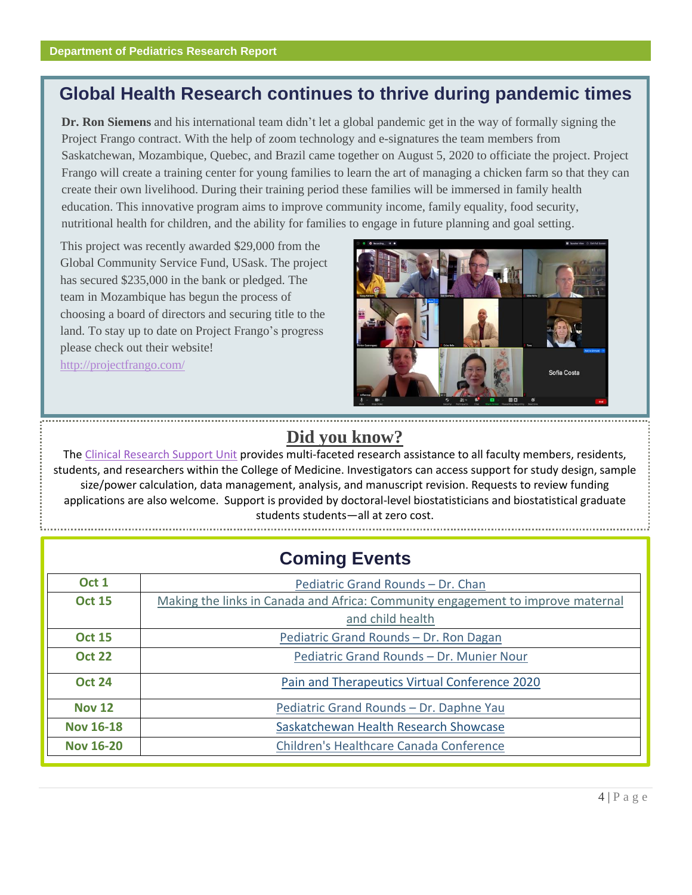## **Global Health Research continues to thrive during pandemic times**

**Dr. Ron Siemens** and his international team didn't let a global pandemic get in the way of formally signing the Project Frango contract. With the help of zoom technology and e-signatures the team members from Saskatchewan, Mozambique, Quebec, and Brazil came together on August 5, 2020 to officiate the project. Project Frango will create a training center for young families to learn the art of managing a chicken farm so that they can create their own livelihood. During their training period these families will be immersed in family health education. This innovative program aims to improve community income, family equality, food security, nutritional health for children, and the ability for families to engage in future planning and goal setting.

This project was recently awarded \$29,000 from the Global Community Service Fund, USask. The project has secured \$235,000 in the bank or pledged. The team in Mozambique has begun the process of choosing a board of directors and securing title to the land. To stay up to date on Project Frango's progress please check out their website! <http://projectfrango.com/>



#### **Did you know?**

The [Clinical Research Support Unit](https://medicine.usask.ca/contacts/clinical-research-support-unit.php) provides multi-faceted research assistance to all faculty members, residents, students, and researchers within the College of Medicine. Investigators can access support for study design, sample size/power calculation, data management, analysis, and manuscript revision. Requests to review funding applications are also welcome. Support is provided by doctoral-level biostatisticians and biostatistical graduate students students—all at zero cost.

| <b>Coming Events</b> |                                                                                 |  |  |  |
|----------------------|---------------------------------------------------------------------------------|--|--|--|
| Oct 1                | Pediatric Grand Rounds - Dr. Chan                                               |  |  |  |
| <b>Oct 15</b>        | Making the links in Canada and Africa: Community engagement to improve maternal |  |  |  |
|                      | and child health                                                                |  |  |  |
| <b>Oct 15</b>        | Pediatric Grand Rounds - Dr. Ron Dagan                                          |  |  |  |
| <b>Oct 22</b>        | Pediatric Grand Rounds - Dr. Munier Nour                                        |  |  |  |
| <b>Oct 24</b>        | Pain and Therapeutics Virtual Conference 2020                                   |  |  |  |
| <b>Nov 12</b>        | Pediatric Grand Rounds - Dr. Daphne Yau                                         |  |  |  |
| <b>Nov 16-18</b>     | Saskatchewan Health Research Showcase                                           |  |  |  |
| <b>Nov 16-20</b>     | Children's Healthcare Canada Conference                                         |  |  |  |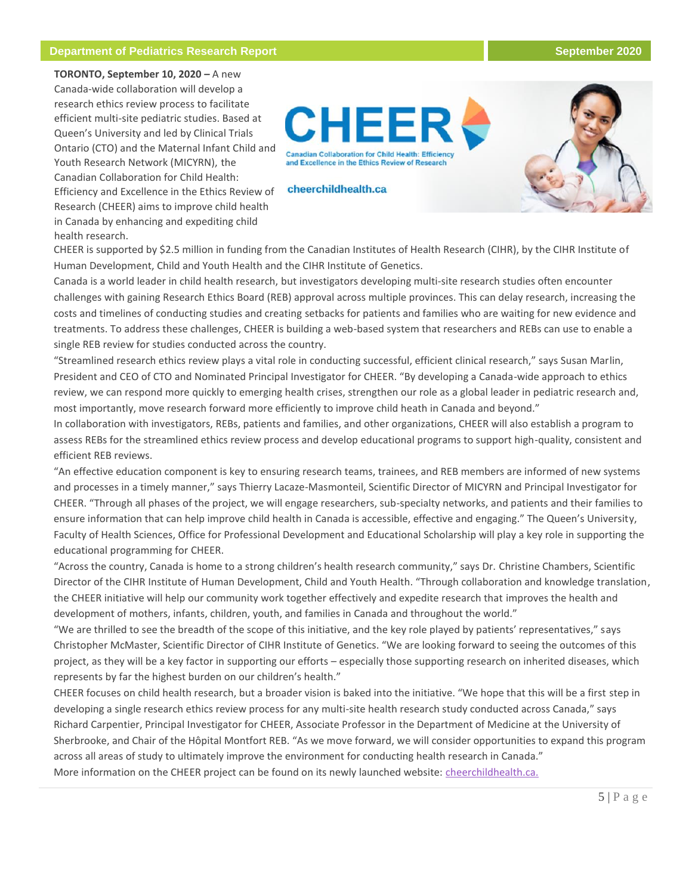#### **Department of Pediatrics Research Report September 2020**

**TORONTO, September 10, 2020 –** A new Canada-wide collaboration will develop a research ethics review process to facilitate efficient multi-site pediatric studies. Based at Queen's University and led by Clinical Trials Ontario (CTO) and the Maternal Infant Child and Youth Research Network (MICYRN), the Canadian Collaboration for Child Health: Efficiency and Excellence in the Ethics Review of Research (CHEER) aims to improve child health in Canada by enhancing and expediting child health research.



CHEER is supported by \$2.5 million in funding from the Canadian Institutes of Health Research (CIHR), by the CIHR Institute of Human Development, Child and Youth Health and the CIHR Institute of Genetics.

Canada is a world leader in child health research, but investigators developing multi-site research studies often encounter challenges with gaining Research Ethics Board (REB) approval across multiple provinces. This can delay research, increasing the costs and timelines of conducting studies and creating setbacks for patients and families who are waiting for new evidence and treatments. To address these challenges, CHEER is building a web-based system that researchers and REBs can use to enable a single REB review for studies conducted across the country.

"Streamlined research ethics review plays a vital role in conducting successful, efficient clinical research," says Susan Marlin, President and CEO of CTO and Nominated Principal Investigator for CHEER. "By developing a Canada-wide approach to ethics review, we can respond more quickly to emerging health crises, strengthen our role as a global leader in pediatric research and, most importantly, move research forward more efficiently to improve child heath in Canada and beyond."

In collaboration with investigators, REBs, patients and families, and other organizations, CHEER will also establish a program to assess REBs for the streamlined ethics review process and develop educational programs to support high-quality, consistent and efficient REB reviews.

"An effective education component is key to ensuring research teams, trainees, and REB members are informed of new systems and processes in a timely manner," says Thierry Lacaze-Masmonteil, Scientific Director of MICYRN and Principal Investigator for CHEER. "Through all phases of the project, we will engage researchers, sub-specialty networks, and patients and their families to ensure information that can help improve child health in Canada is accessible, effective and engaging." The Queen's University, Faculty of Health Sciences, Office for Professional Development and Educational Scholarship will play a key role in supporting the educational programming for CHEER.

"Across the country, Canada is home to a strong children's health research community," says Dr. Christine Chambers, Scientific Director of the CIHR Institute of Human Development, Child and Youth Health. "Through collaboration and knowledge translation, the CHEER initiative will help our community work together effectively and expedite research that improves the health and development of mothers, infants, children, youth, and families in Canada and throughout the world."

"We are thrilled to see the breadth of the scope of this initiative, and the key role played by patients' representatives," says Christopher McMaster, Scientific Director of CIHR Institute of Genetics. "We are looking forward to seeing the outcomes of this project, as they will be a key factor in supporting our efforts – especially those supporting research on inherited diseases, which represents by far the highest burden on our children's health."

CHEER focuses on child health research, but a broader vision is baked into the initiative. "We hope that this will be a first step in developing a single research ethics review process for any multi-site health research study conducted across Canada," says Richard Carpentier, Principal Investigator for CHEER, Associate Professor in the Department of Medicine at the University of Sherbrooke, and Chair of the Hôpital Montfort REB. "As we move forward, we will consider opportunities to expand this program across all areas of study to ultimately improve the environment for conducting health research in Canada."

More information on the CHEER project can be found on its newly launched website: [cheerchildhealth.ca.](https://cheerchildhealth.ca/)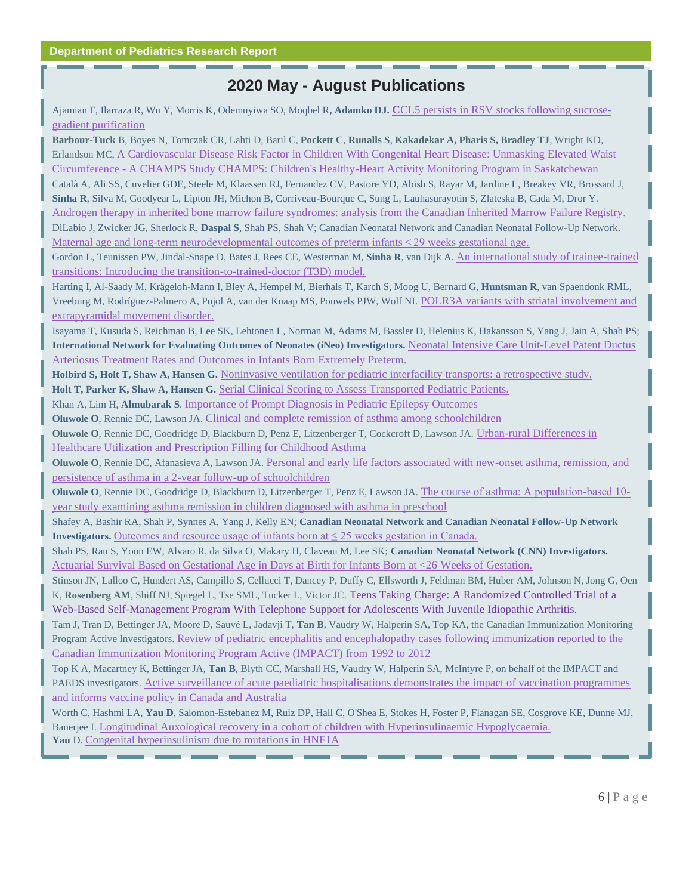#### **2020 May - August Publications**

Ajamian F, Ilarraza R, Wu Y, Morris K, Odemuyiwa SO, Moqbel R**, Adamko DJ. C**[CL5 persists in RSV stocks following sucrose](https://jlb.onlinelibrary.wiley.com/doi/abs/10.1002/JLB.4MA0320-621R?af=R)[gradient purification](https://jlb.onlinelibrary.wiley.com/doi/abs/10.1002/JLB.4MA0320-621R?af=R)

**Barbour-Tuck** B, Boyes N, Tomczak CR, Lahti D, Baril C, **Pockett C**, **Runalls S**, **Kakadekar A, Pharis S, Bradley TJ**, Wright KD, Erlandson MC, [A Cardiovascular Disease Risk Factor in Children With Congenital Heart Disease: Unmasking Elevated Waist](https://pubmed.ncbi.nlm.nih.gov/32429858/?from_single_result=A+Cardiovascular+Disease+Risk+Factor+in+Children+With+Congenital+Heart+Disease%3A+Unmasking+Elevated+Waist+Circumference+-+A+CHAMPS%2A+Study+%2ACHAMPS%3A+Children%27s+Healthy-Heart+Activity+Monitoring+Program+in+Saskatchewan&expanded_search_query=A+Cardiovascular+Disease+Risk+Factor+in+Children+With+Congenital+Heart+Disease%3A+Unmasking+Elevated+Waist+Circumference+-+A+CHAMPS%2A+Study+%2ACHAMPS%3A+Children%27s+Healthy-Heart+Activity+Monitoring+Program+in+Saskatchewan)  Circumference - [A CHAMPS Study CHAMPS: Children's Healthy-Heart Activity Monitoring Program in Saskatchewan](https://pubmed.ncbi.nlm.nih.gov/32429858/?from_single_result=A+Cardiovascular+Disease+Risk+Factor+in+Children+With+Congenital+Heart+Disease%3A+Unmasking+Elevated+Waist+Circumference+-+A+CHAMPS%2A+Study+%2ACHAMPS%3A+Children%27s+Healthy-Heart+Activity+Monitoring+Program+in+Saskatchewan&expanded_search_query=A+Cardiovascular+Disease+Risk+Factor+in+Children+With+Congenital+Heart+Disease%3A+Unmasking+Elevated+Waist+Circumference+-+A+CHAMPS%2A+Study+%2ACHAMPS%3A+Children%27s+Healthy-Heart+Activity+Monitoring+Program+in+Saskatchewan) Català A, Ali SS, Cuvelier GDE, Steele M, Klaassen RJ, Fernandez CV, Pastore YD, Abish S, Rayar M, Jardine L, Breakey VR, Brossard J, **Sinha R**, Silva M, Goodyear L, Lipton JH, Michon B, Corriveau-Bourque C, Sung L, Lauhasurayotin S, Zlateska B, Cada M, Dror Y. [Androgen therapy in inherited bone marrow failure syndromes: analysis from the Canadian Inherited Marrow Failure Registry.](https://pubmed.ncbi.nlm.nih.gov/32128787/)  DiLabio J, Zwicker JG, Sherlock R, **Daspal S**, Shah PS, Shah V; Canadian Neonatal Network and Canadian Neonatal Follow-Up Network. Maternal age and long-term neurodevelopmental outcomes of preterm infants < 29 weeks gestational age. Gordon L, Teunissen PW, Jindal-Snape D, Bates J, Rees CE, Westerman M, **Sinha R**, van Dijk A. [An international study of trainee-trained](https://pubmed.ncbi.nlm.nih.gov/32150488/)  [transitions: Introducing the transition-to-trained-doctor \(T3D\) model.](https://pubmed.ncbi.nlm.nih.gov/32150488/)  Harting I, Al-Saady M, Krägeloh-Mann I, Bley A, Hempel M, Bierhals T, Karch S, Moog U, Bernard G, **Huntsman R**, van Spaendonk RML, Vreeburg M, Rodríguez-Palmero A, Pujol A, van der Knaap MS, Pouwels PJW, Wolf NI. [POLR3A variants with striatal involvement and](https://pubmed.ncbi.nlm.nih.gov/31940116/)  [extrapyramidal movement disorder.](https://pubmed.ncbi.nlm.nih.gov/31940116/)  Isayama T, Kusuda S, Reichman B, Lee SK, Lehtonen L, Norman M, Adams M, Bassler D, Helenius K, Hakansson S, Yang J, Jain A, Shah PS; **International Network for Evaluating Outcomes of Neonates (iNeo) Investigators.** [Neonatal Intensive Care Unit-Level Patent Ductus](https://pubmed.ncbi.nlm.nih.gov/32145968/)  Arteriosus Treatment Rates and Outcomes in Infants Born Extremely Preterm. **Holbird S, Holt T, Shaw A, Hansen G.** [Noninvasive ventilation for pediatric interfacility transports: a retrospective study.](https://pubmed.ncbi.nlm.nih.gov/32405709/)  **Holt T, Parker K, Shaw A, Hansen G.** [Serial Clinical Scoring to Assess Transported Pediatric Patients.](https://pubmed.ncbi.nlm.nih.gov/32501885/)  Khan A, Lim H, **Almubarak S**. [Importance of Prompt Diagnosis in Pediatric Epilepsy Outcomes](https://pubmed.ncbi.nlm.nih.gov/32504870/) **Oluwole O**, Rennie DC, Lawson JA. [Clinical and complete remission of asthma among schoolchildren](https://www.annallergy.org/article/S1081-1206(20)30330-6/fulltext) **Oluwole O**, Rennie DC, Goodridge D, Blackburn D, Penz E, Litzenberger T, Cockcroft D, Lawson JA. [Urban-rural Differences in](https://pubmed.ncbi.nlm.nih.gov/32353407/)  [Healthcare Utilization and Prescription Filling for Childhood Asthma](https://pubmed.ncbi.nlm.nih.gov/32353407/) **Oluwole O**, Rennie DC, Afanasieva A, Lawson JA. [Personal and early life factors associated with new-onset asthma, remission, and](https://www.ncbi.nlm.nih.gov/pubmed/31906746)  [persistence of asthma in a 2-year follow-up of schoolchildren](https://www.ncbi.nlm.nih.gov/pubmed/31906746) **Oluwole O**, Rennie DC, Goodridge D, Blackburn D, Litzenberger T, Penz E, Lawson JA. The course [of asthma: A population‐based 10‐](https://onlinelibrary.wiley.com/doi/abs/10.1002/ppul.24881) [year study examining asthma remission in children diagnosed with asthma in preschool](https://onlinelibrary.wiley.com/doi/abs/10.1002/ppul.24881)

Shafey A, Bashir RA, Shah P, Synnes A, Yang J, Kelly EN; **Canadian Neonatal Network and Canadian Neonatal Follow-Up Network Investigators.** Outcomes and resource usage of infants born at  $\leq 25$  weeks gestation in Canada.

Shah PS, Rau S, Yoon EW, Alvaro R, da Silva O, Makary H, Claveau M, Lee SK; **Canadian Neonatal Network (CNN) Investigators.** [Actuarial Survival Based on Gestational Age in Days at Birth for Infants Born at <26](https://pubmed.ncbi.nlm.nih.gov/32474028/) Weeks of Gestation.

Stinson JN, Lalloo C, Hundert AS, Campillo S, Cellucci T, Dancey P, Duffy C, Ellsworth J, Feldman BM, Huber AM, Johnson N, Jong G, Oen K, Rosenberg AM, Shiff NJ, Spiegel L, Tse SML, Tucker L, Victor JC. Teens Taking Charge: A Randomized Controlled Trial of a [Web-Based Self-Management Program With Telephone Support for Adolescents With Juvenile Idiopathic Arthritis.](https://pubmed.ncbi.nlm.nih.gov/32723728/) 

Tam J, Tran D, Bettinger JA, Moore D, Sauvé L, Jadavji T, **Tan B**, Vaudry W, Halperin SA, Top KA, the Canadian Immunization Monitoring Program Active Investigators. [Review of pediatric encephalitis and encephalopathy cases following immunization reported to the](https://www.sciencedirect.com/science/article/pii/S0264410X20305193)  [Canadian Immunization Monitoring Program Active \(IMPACT\) from](https://www.sciencedirect.com/science/article/pii/S0264410X20305193) 1992 to 2012

Top K A, Macartney K, Bettinger JA, **Tan B**, Blyth CC, Marshall HS, Vaudry W, Halperin SA, McIntyre P, on behalf of the IMPACT and PAEDS investigators. [Active surveillance of acute paediatric hospitalisations demonstrates the impact of vaccination programmes](https://www.eurosurveillance.org/content/10.2807/1560-7917.ES.2020.25.25.1900562?TRACK=RSS#html_fulltext)  [and informs vaccine policy in Canada and Australia](https://www.eurosurveillance.org/content/10.2807/1560-7917.ES.2020.25.25.1900562?TRACK=RSS#html_fulltext)

Worth C, Hashmi LA, **Yau D**, Salomon-Estebanez M, Ruiz DP, Hall C, O'Shea E, Stokes H, Foster P, Flanagan SE, Cosgrove KE, Dunne MJ, Banerjee I. [Longitudinal Auxological recovery in a cohort of children with Hyperinsulinaemic Hypoglycaemia.](https://pubmed.ncbi.nlm.nih.gov/32580746/)  **Yau** D. [Congenital hyperinsulinism due to mutations in HNF1A](https://www.sciencedirect.com/science/article/pii/S1769721219305038?dgcid=author)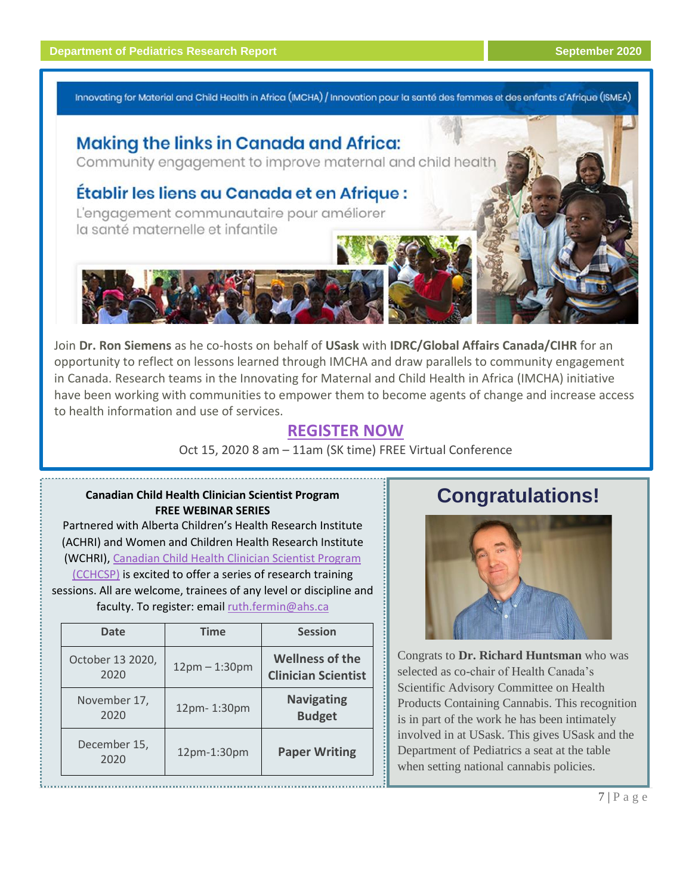Innovating for Material and Child Health in Africa (IMCHA) / Innovation pour la santé des femmes et des enfants d'Afrique (ISMEA)

## **Making the links in Canada and Africa:**

Community engagement to improve maternal and child health

#### Établir les liens au Canada et en Afrique :

L'engagement communautaire pour améliorer la santé maternelle et infantile

Join **Dr. Ron Siemens** as he co-hosts on behalf of **USask** with **IDRC/Global Affairs Canada/CIHR** for an opportunity to reflect on lessons learned through IMCHA and draw parallels to community engagement in Canada. Research teams in the Innovating for Maternal and Child Health in Africa (IMCHA) initiative have been working with communities to empower them to become agents of change and increase access to health information and use of services.

#### **[REGISTER NOW](https://collaboratevideo.net/IMCHA-ISMEA)**

Oct 15, 2020 8 am – 11am (SK time) FREE Virtual Conference

#### **Canadian Child Health Clinician Scientist Program FREE WEBINAR SERIES**

Partnered with Alberta Children's Health Research Institute (ACHRI) and Women and Children Health Research Institute (WCHRI), [Canadian Child Health Clinician Scientist Program](https://cchcsp.ca/)  [\(CCHCSP\)](https://cchcsp.ca/) is excited to offer a series of research training

sessions. All are welcome, trainees of any level or discipline and faculty. To register: emai[l ruth.fermin@ahs.ca](mailto:ruth.fermin@ahs.ca)

| <b>Date</b>              | <b>Time</b>     | <b>Session</b>                                       |
|--------------------------|-----------------|------------------------------------------------------|
| October 13 2020,<br>2020 | $12pm - 1:30pm$ | <b>Wellness of the</b><br><b>Clinician Scientist</b> |
| November 17,<br>2020     | 12pm-1:30pm     | <b>Navigating</b><br><b>Budget</b>                   |
| December 15,<br>2020     | 12pm-1:30pm     | <b>Paper Writing</b>                                 |

## **Congratulations!**



Congrats to **Dr. Richard Huntsman** who was selected as co-chair of Health Canada's Scientific Advisory Committee on Health Products Containing Cannabis. This recognition is in part of the work he has been intimately involved in at USask. This gives USask and the Department of Pediatrics a seat at the table when setting national cannabis policies.